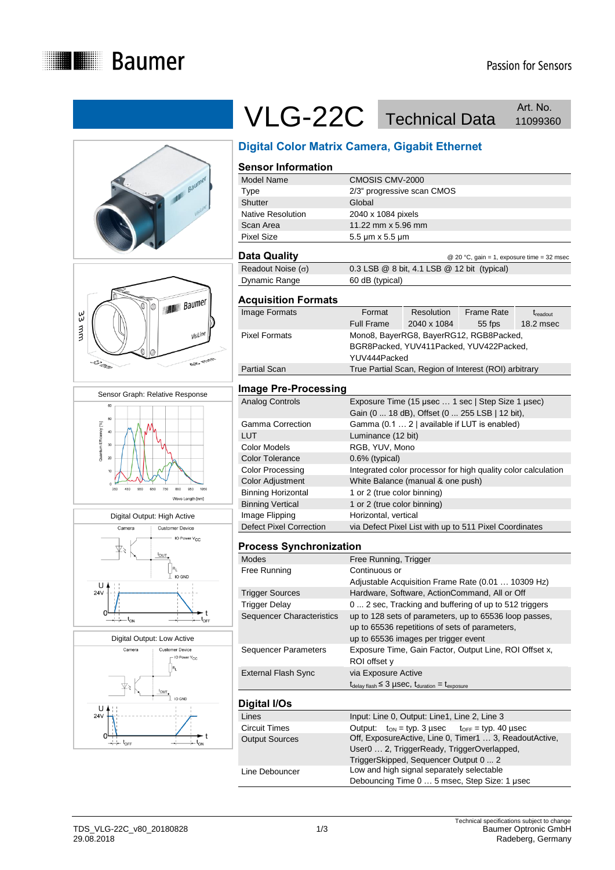









## VLG-22C Technical Data Art. No. Art. No.

## **Digital Color Matrix Camera, Gigabit Ethernet**

|                                     | Pignai Color Matrix Caniera, Olgabit Ethernet                                                                                                 |  |  |
|-------------------------------------|-----------------------------------------------------------------------------------------------------------------------------------------------|--|--|
| <b>Sensor Information</b>           |                                                                                                                                               |  |  |
| Model Name                          | CMOSIS CMV-2000                                                                                                                               |  |  |
| <b>Type</b>                         | 2/3" progressive scan CMOS                                                                                                                    |  |  |
| Shutter<br><b>Native Resolution</b> | Global                                                                                                                                        |  |  |
|                                     | 2040 x 1084 pixels                                                                                                                            |  |  |
| Scan Area<br>Pixel Size             | 11.22 mm x 5.96 mm                                                                                                                            |  |  |
|                                     | 5.5 µm x 5.5 µm                                                                                                                               |  |  |
| <b>Data Quality</b>                 | @ 20 °C, gain = 1, exposure time = 32 msec                                                                                                    |  |  |
| Readout Noise $(\sigma)$            | 0.3 LSB @ 8 bit, 4.1 LSB @ 12 bit (typical)                                                                                                   |  |  |
| Dynamic Range                       | 60 dB (typical)                                                                                                                               |  |  |
| <b>Acquisition Formats</b>          |                                                                                                                                               |  |  |
| Image Formats                       | Format<br><b>Resolution</b><br><b>Frame Rate</b><br>t <sub>readout</sub><br><b>Full Frame</b><br>2040 x 1084<br>55 fps<br>$18.2$ msec         |  |  |
| <b>Pixel Formats</b>                | Mono8, BayerRG8, BayerRG12, RGB8Packed,<br>BGR8Packed, YUV411Packed, YUV422Packed,<br>YUV444Packed                                            |  |  |
| <b>Partial Scan</b>                 | True Partial Scan, Region of Interest (ROI) arbitrary                                                                                         |  |  |
| <b>Image Pre-Processing</b>         |                                                                                                                                               |  |  |
| <b>Analog Controls</b>              | Exposure Time (15 µsec  1 sec   Step Size 1 µsec)<br>Gain (0  18 dB), Offset (0  255 LSB   12 bit),                                           |  |  |
| Gamma Correction                    | Gamma (0.1  2   available if LUT is enabled)                                                                                                  |  |  |
| LUT                                 | Luminance (12 bit)                                                                                                                            |  |  |
| <b>Color Models</b>                 | RGB, YUV, Mono                                                                                                                                |  |  |
| <b>Color Tolerance</b>              | 0.6% (typical)                                                                                                                                |  |  |
| <b>Color Processing</b>             | Integrated color processor for high quality color calculation                                                                                 |  |  |
| <b>Color Adjustment</b>             | White Balance (manual & one push)                                                                                                             |  |  |
| <b>Binning Horizontal</b>           | 1 or 2 (true color binning)                                                                                                                   |  |  |
| <b>Binning Vertical</b>             | 1 or 2 (true color binning)                                                                                                                   |  |  |
| Image Flipping                      | Horizontal, vertical                                                                                                                          |  |  |
| <b>Defect Pixel Correction</b>      | via Defect Pixel List with up to 511 Pixel Coordinates                                                                                        |  |  |
| <b>Process Synchronization</b>      |                                                                                                                                               |  |  |
| <b>Modes</b>                        | Free Running, Trigger                                                                                                                         |  |  |
| Free Running                        | Continuous or                                                                                                                                 |  |  |
|                                     | Adjustable Acquisition Frame Rate (0.01  10309 Hz)                                                                                            |  |  |
| <b>Trigger Sources</b>              | Hardware, Software, ActionCommand, All or Off                                                                                                 |  |  |
| <b>Trigger Delay</b>                | 0  2 sec, Tracking and buffering of up to 512 triggers                                                                                        |  |  |
| <b>Sequencer Characteristics</b>    | up to 128 sets of parameters, up to 65536 loop passes,<br>up to 65536 repetitions of sets of parameters,                                      |  |  |
| <b>Sequencer Parameters</b>         | up to 65536 images per trigger event<br>Exposure Time, Gain Factor, Output Line, ROI Offset x,<br>ROI offset y                                |  |  |
| <b>External Flash Sync</b>          | via Exposure Active                                                                                                                           |  |  |
|                                     | $t_{\text{delay flash}} \leq 3 \mu \text{sec}, t_{\text{duration}} = t_{\text{exposure}}$                                                     |  |  |
| Digital I/Os                        |                                                                                                                                               |  |  |
| Lines                               | Input: Line 0, Output: Line1, Line 2, Line 3                                                                                                  |  |  |
| Circuit Times                       | Output:<br>$t_{ON}$ = typ. 3 µsec<br>$t_{\text{OFF}}$ = typ. 40 µsec                                                                          |  |  |
| <b>Output Sources</b>               | Off, ExposureActive, Line 0, Timer1  3, ReadoutActive,<br>User0  2, TriggerReady, TriggerOverlapped,<br>TriggerSkipped, Sequencer Output 0  2 |  |  |
| Line Debouncer                      | Low and high signal separately selectable<br>Debouncing Time 0  5 msec, Step Size: 1 µsec                                                     |  |  |
|                                     |                                                                                                                                               |  |  |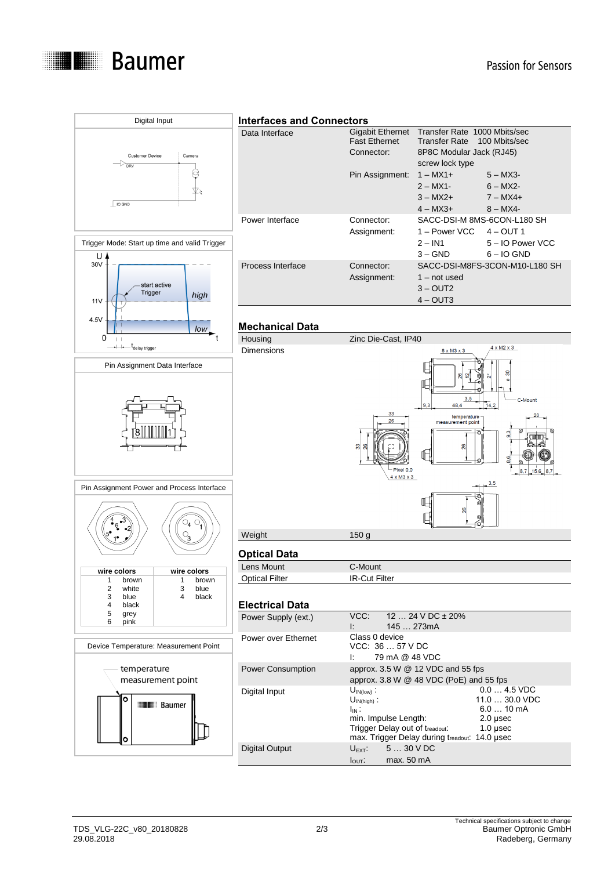